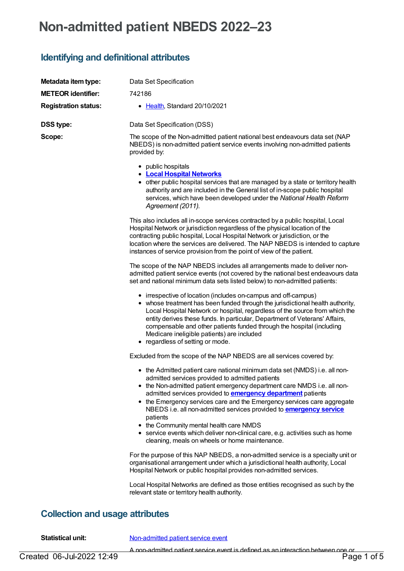# **Non-admitted patient NBEDS 2022–23**

### **Identifying and definitional attributes**

| Metadata item type:                                                   | Data Set Specification                                                                                                                                                                                                                                                                                                                                                                                                                                                                        |  |
|-----------------------------------------------------------------------|-----------------------------------------------------------------------------------------------------------------------------------------------------------------------------------------------------------------------------------------------------------------------------------------------------------------------------------------------------------------------------------------------------------------------------------------------------------------------------------------------|--|
| <b>METEOR identifier:</b>                                             | 742186                                                                                                                                                                                                                                                                                                                                                                                                                                                                                        |  |
| <b>Registration status:</b>                                           | • Health, Standard 20/10/2021                                                                                                                                                                                                                                                                                                                                                                                                                                                                 |  |
|                                                                       |                                                                                                                                                                                                                                                                                                                                                                                                                                                                                               |  |
| <b>DSS type:</b>                                                      | Data Set Specification (DSS)                                                                                                                                                                                                                                                                                                                                                                                                                                                                  |  |
| Scope:                                                                | The scope of the Non-admitted patient national best endeavours data set (NAP<br>NBEDS) is non-admitted patient service events involving non-admitted patients<br>provided by:                                                                                                                                                                                                                                                                                                                 |  |
|                                                                       | • public hospitals<br><b>• Local Hospital Networks</b><br>• other public hospital services that are managed by a state or territory health<br>authority and are included in the General list of in-scope public hospital<br>services, which have been developed under the National Health Reform<br>Agreement (2011).                                                                                                                                                                         |  |
|                                                                       | This also includes all in-scope services contracted by a public hospital, Local<br>Hospital Network or jurisdiction regardless of the physical location of the<br>contracting public hospital, Local Hospital Network or jurisdiction, or the<br>location where the services are delivered. The NAP NBEDS is intended to capture<br>instances of service provision from the point of view of the patient.                                                                                     |  |
|                                                                       | The scope of the NAP NBEDS includes all arrangements made to deliver non-<br>admitted patient service events (not covered by the national best endeavours data<br>set and national minimum data sets listed below) to non-admitted patients:                                                                                                                                                                                                                                                  |  |
|                                                                       | • irrespective of location (includes on-campus and off-campus)<br>• whose treatment has been funded through the jurisdictional health authority,<br>Local Hospital Network or hospital, regardless of the source from which the<br>entity derives these funds. In particular, Department of Veterans' Affairs,<br>compensable and other patients funded through the hospital (including<br>Medicare ineligible patients) are included<br>• regardless of setting or mode.                     |  |
| Excluded from the scope of the NAP NBEDS are all services covered by: |                                                                                                                                                                                                                                                                                                                                                                                                                                                                                               |  |
|                                                                       | • the Admitted patient care national minimum data set (NMDS) i.e. all non-<br>admitted services provided to admitted patients<br>• the Non-admitted patient emergency department care NMDS i.e. all non-<br>admitted services provided to <b>emergency department</b> patients<br>• the Emergency services care and the Emergency services care aggregate<br>NBEDS i.e. all non-admitted services provided to <b>emergency service</b><br>patients<br>• the Community mental health care NMDS |  |
|                                                                       | • service events which deliver non-clinical care, e.g. activities such as home<br>cleaning, meals on wheels or home maintenance.                                                                                                                                                                                                                                                                                                                                                              |  |
|                                                                       | For the purpose of this NAP NBEDS, a non-admitted service is a specialty unit or<br>organisational arrangement under which a jurisdictional health authority, Local<br>Hospital Network or public hospital provides non-admitted services.                                                                                                                                                                                                                                                    |  |
|                                                                       | Local Hospital Networks are defined as those entities recognised as such by the<br>relevant state or territory health authority.                                                                                                                                                                                                                                                                                                                                                              |  |

### **Collection and usage attributes**

**Statistical unit:** [Non-admitted](file:///content/652089) patient service event

A non-admitted patient service event is defined as an interaction between one or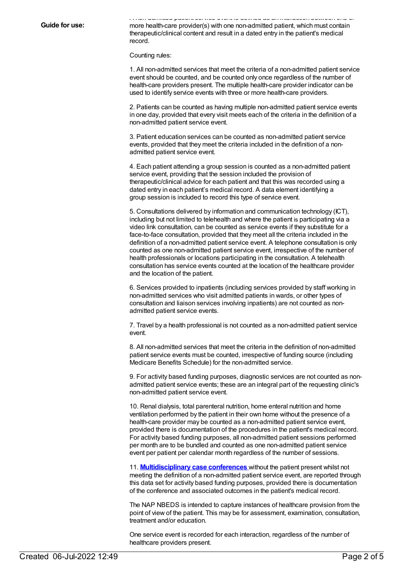A non-admitted patient service event is defined as an interaction between one or more health-care provider(s) with one non-admitted patient, which must contain therapeutic/clinical content and result in a dated entry in the patient's medical record.

Counting rules:

1. All non-admitted services that meet the criteria of a non-admitted patient service event should be counted, and be counted only once regardless of the number of health-care providers present. The multiple health-care provider indicator can be used to identify service events with three or more health-care providers.

2. Patients can be counted as having multiple non-admitted patient service events in one day, provided that every visit meets each of the criteria in the definition of a non-admitted patient service event.

3. Patient education services can be counted as non-admitted patient service events, provided that they meet the criteria included in the definition of a nonadmitted patient service event.

4. Each patient attending a group session is counted as a non-admitted patient service event, providing that the session included the provision of therapeutic/clinical advice for each patient and that this was recorded using a dated entry in each patient's medical record. A data element identifying a group session is included to record this type of service event.

5. Consultations delivered by information and communication technology (ICT), including but not limited to telehealth and where the patient is participating via a video link consultation, can be counted as service events if they substitute for a face-to-face consultation, provided that they meet all the criteria included in the definition of a non-admitted patient service event. A telephone consultation is only counted as one non-admitted patient service event, irrespective of the number of health professionals or locations participating in the consultation. A telehealth consultation has service events counted at the location of the healthcare provider and the location of the patient.

6. Services provided to inpatients (including services provided by staff working in non-admitted services who visit admitted patients in wards, or other types of consultation and liaison services involving inpatients) are not counted as nonadmitted patient service events.

7. Travel by a health professional is not counted as a non-admitted patient service event.

8. All non-admitted services that meet the criteria in the definition of non-admitted patient service events must be counted, irrespective of funding source (including Medicare Benefits Schedule) for the non-admitted service.

9. For activity based funding purposes, diagnostic services are not counted as nonadmitted patient service events; these are an integral part of the requesting clinic's non-admitted patient service event.

10. Renal dialysis, total parenteral nutrition, home enteral nutrition and home ventilation performed by the patient in their own home without the presence of a health-care provider may be counted as a non-admitted patient service event, provided there is documentation of the procedures in the patient's medical record. For activity based funding purposes, all non-admitted patient sessions performed per month are to be bundled and counted as one non-admitted patient service event per patient per calendar month regardless of the number of sessions.

11. **[Multidisciplinary](https://meteor.aihw.gov.au/content/614408) case conferences** without the patient present whilst not meeting the definition of a non-admitted patient service event, are reported through this data set for activity based funding purposes, provided there is documentation of the conference and associated outcomes in the patient's medical record.

The NAP NBEDS is intended to capture instances of healthcare provision from the point of view of the patient. This may be for assessment, examination, consultation, treatment and/or education.

One service event is recorded for each interaction, regardless of the number of healthcare providers present.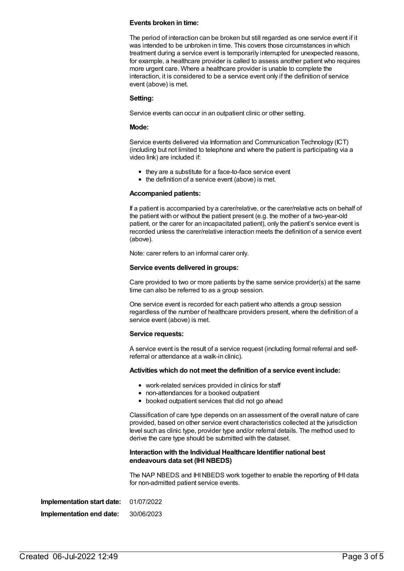#### **Events broken in time:**

The period of interaction can be broken but still regarded as one service event if it was intended to be unbroken in time. This covers those circumstances in which treatment during a service event is temporarily interrupted for unexpected reasons, for example, a healthcare provider is called to assess another patient who requires more urgent care. Where a healthcare provider is unable to complete the interaction, it is considered to be a service event only if the definition of service event (above) is met.

#### **Setting:**

Service events can occur in an outpatient clinic or other setting.

#### **Mode:**

Service events delivered via Information and Communication Technology (ICT) (including but not limited to telephone and where the patient is participating via a video link) are included if:

- they are a substitute for a face-to-face service event
- the definition of a service event (above) is met.

#### **Accompanied patients:**

If a patient is accompanied by a carer/relative, or the carer/relative acts on behalf of the patient with or without the patient present (e.g. the mother of a two-year-old patient, or the carer for an incapacitated patient), only the patient's service event is recorded unless the carer/relative interaction meets the definition of a service event (above).

Note: carer refers to an informal carer only.

#### **Service events delivered in groups:**

Care provided to two or more patients by the same service provider(s) at the same time can also be referred to as a group session.

One service event is recorded for each patient who attends a group session regardless of the number of healthcare providers present, where the definition of a service event (above) is met.

#### **Service requests:**

A service event is the result of a service request (including formal referral and selfreferral or attendance at a walk-in clinic).

#### **Activities which do not meet the definition of a service event include:**

- work-related services provided in clinics for staff
- non-attendances for a booked outpatient
- booked outpatient services that did not go ahead

Classification of care type depends on an assessment of the overall nature of care provided, based on other service event characteristics collected at the jurisdiction level such as clinic type, provider type and/or referral details. The method used to derive the care type should be submitted with the dataset.

#### **Interaction with the Individual Healthcare Identifier national best endeavours data set (IHI NBEDS)**

The NAP NBEDS and IHINBEDS work together to enable the reporting of IHI data for non-admitted patient service events.

| Implementation start date: | 01/07/2022 |
|----------------------------|------------|
| Implementation end date:   | 30/06/2023 |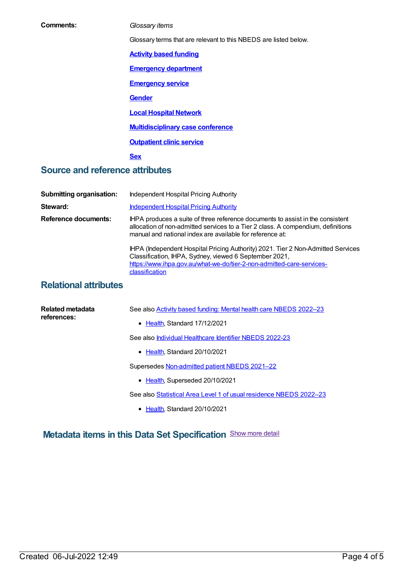| Comments:                              | Glossary items                                                                                                                                                                                                                  |
|----------------------------------------|---------------------------------------------------------------------------------------------------------------------------------------------------------------------------------------------------------------------------------|
|                                        | Glossary terms that are relevant to this NBEDS are listed below.                                                                                                                                                                |
|                                        | <b>Activity based funding</b>                                                                                                                                                                                                   |
|                                        | <b>Emergency department</b>                                                                                                                                                                                                     |
|                                        | <b>Emergency service</b>                                                                                                                                                                                                        |
|                                        | <b>Gender</b>                                                                                                                                                                                                                   |
|                                        | <b>Local Hospital Network</b>                                                                                                                                                                                                   |
|                                        | <b>Multidisciplinary case conference</b>                                                                                                                                                                                        |
|                                        | <b>Outpatient clinic service</b>                                                                                                                                                                                                |
|                                        | <b>Sex</b>                                                                                                                                                                                                                      |
| <b>Source and reference attributes</b> |                                                                                                                                                                                                                                 |
|                                        |                                                                                                                                                                                                                                 |
| <b>Submitting organisation:</b>        | <b>Independent Hospital Pricing Authority</b>                                                                                                                                                                                   |
| Steward:                               | <b>Independent Hospital Pricing Authority</b>                                                                                                                                                                                   |
| <b>Reference documents:</b>            | IHPA produces a suite of three reference documents to assist in the consistent<br>allocation of non-admitted services to a Tier 2 class. A compendium, definitions<br>manual and national index are available for reference at: |
|                                        | IHPA (Independent Hospital Pricing Authority) 2021. Tier 2 Non-Admitted Services<br>Classification, IHPA, Sydney, viewed 6 September 2021,<br>https://www.ihpa.gov.au/what-we-do/tier-2-non-admitted-care-services-             |

### **Relational attributes**

| Related metadata<br>references: | See also <b>Activity based funding: Mental health care NBEDS 2022-23</b> |
|---------------------------------|--------------------------------------------------------------------------|
|                                 | • Health, Standard 17/12/2021                                            |
|                                 | See also <i>Individual Healthcare Identifier NBEDS 2022-23</i>           |
|                                 | $\bullet$ Health. Standard 20/10/2021                                    |
|                                 | Supersedes Non-admitted patient NBEDS 2021-22                            |
|                                 | • Health, Superseded 20/10/2021                                          |
|                                 | See also Statistical Area Level 1 of usual residence NBEDS 2022-23       |
|                                 | • Health, Standard 20/10/2021                                            |

## **Metadata items in this Data Set Specification** Show more detail

classification